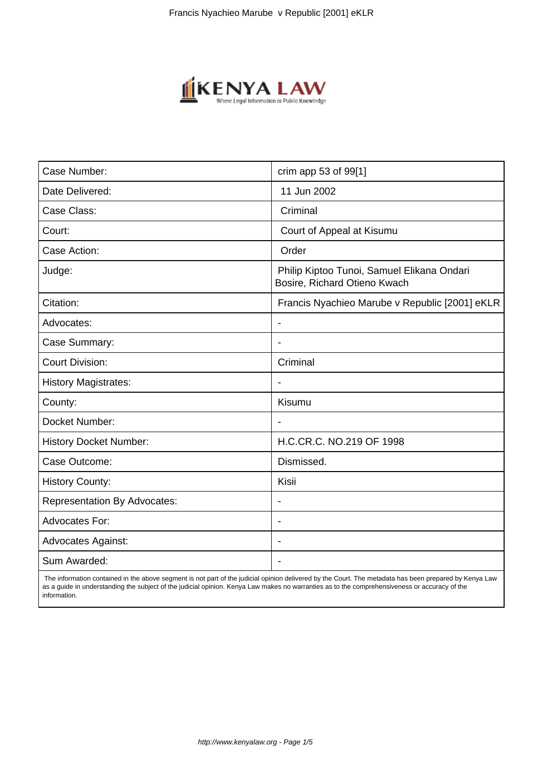

| Case Number:                        | crim app 53 of $99[1]$                                                     |
|-------------------------------------|----------------------------------------------------------------------------|
| Date Delivered:                     | 11 Jun 2002                                                                |
| Case Class:                         | Criminal                                                                   |
| Court:                              | Court of Appeal at Kisumu                                                  |
| Case Action:                        | Order                                                                      |
| Judge:                              | Philip Kiptoo Tunoi, Samuel Elikana Ondari<br>Bosire, Richard Otieno Kwach |
| Citation:                           | Francis Nyachieo Marube v Republic [2001] eKLR                             |
| Advocates:                          |                                                                            |
| Case Summary:                       |                                                                            |
| <b>Court Division:</b>              | Criminal                                                                   |
| <b>History Magistrates:</b>         | $\blacksquare$                                                             |
| County:                             | Kisumu                                                                     |
| Docket Number:                      |                                                                            |
| <b>History Docket Number:</b>       | H.C.CR.C. NO.219 OF 1998                                                   |
| Case Outcome:                       | Dismissed.                                                                 |
| <b>History County:</b>              | Kisii                                                                      |
| <b>Representation By Advocates:</b> | $\overline{\phantom{a}}$                                                   |
| Advocates For:                      | $\overline{\phantom{0}}$                                                   |
| <b>Advocates Against:</b>           |                                                                            |
| Sum Awarded:                        |                                                                            |

 The information contained in the above segment is not part of the judicial opinion delivered by the Court. The metadata has been prepared by Kenya Law as a guide in understanding the subject of the judicial opinion. Kenya Law makes no warranties as to the comprehensiveness or accuracy of the information.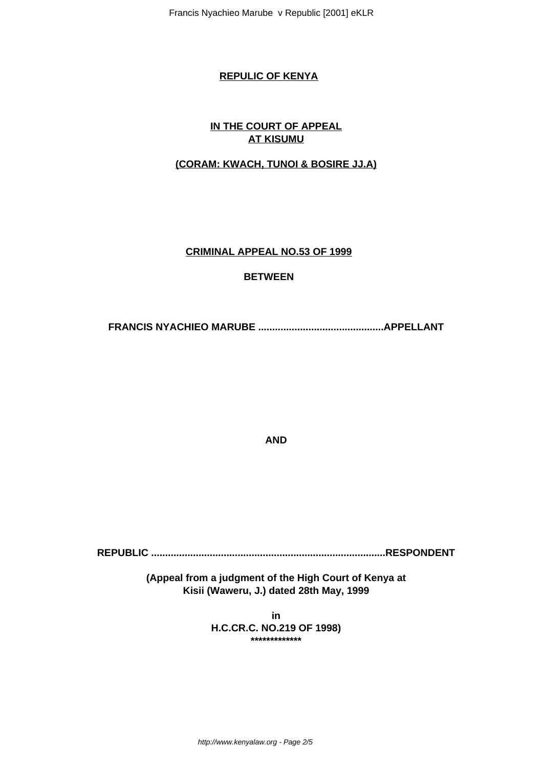Francis Nyachieo Marube v Republic [2001] eKLR

#### **REPULIC OF KENYA**

## **IN THE COURT OF APPEAL AT KISUMU**

## **(CORAM: KWACH, TUNOI & BOSIRE JJ.A)**

#### **CRIMINAL APPEAL NO.53 OF 1999**

#### **BETWEEN**

**FRANCIS NYACHIEO MARUBE .............................................APPELLANT**

**AND**

**REPUBLIC ....................................................................................RESPONDENT**

**(Appeal from a judgment of the High Court of Kenya at Kisii (Waweru, J.) dated 28th May, 1999**

> **in H.C.CR.C. NO.219 OF 1998) \*\*\*\*\*\*\*\*\*\*\*\*\***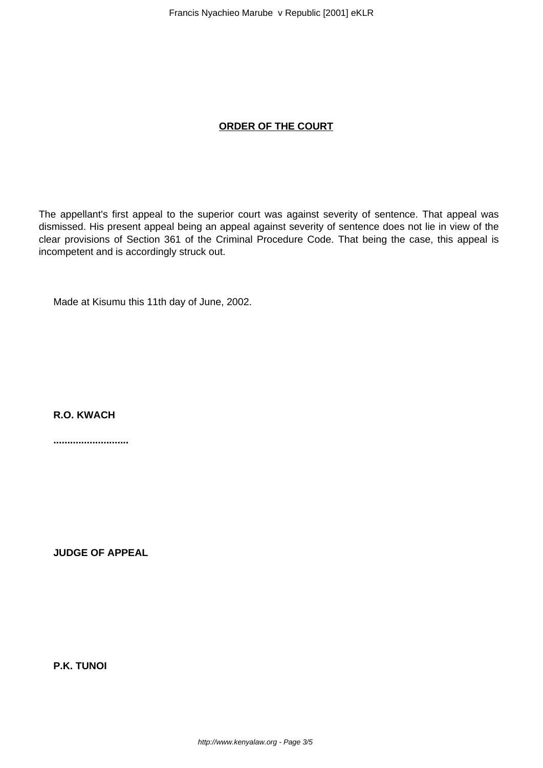# **ORDER OF THE COURT**

The appellant's first appeal to the superior court was against severity of sentence. That appeal was dismissed. His present appeal being an appeal against severity of sentence does not lie in view of the clear provisions of Section 361 of the Criminal Procedure Code. That being the case, this appeal is incompetent and is accordingly struck out.

Made at Kisumu this 11th day of June, 2002.

**R.O. KWACH**

**...........................**

**JUDGE OF APPEAL**

**P.K. TUNOI**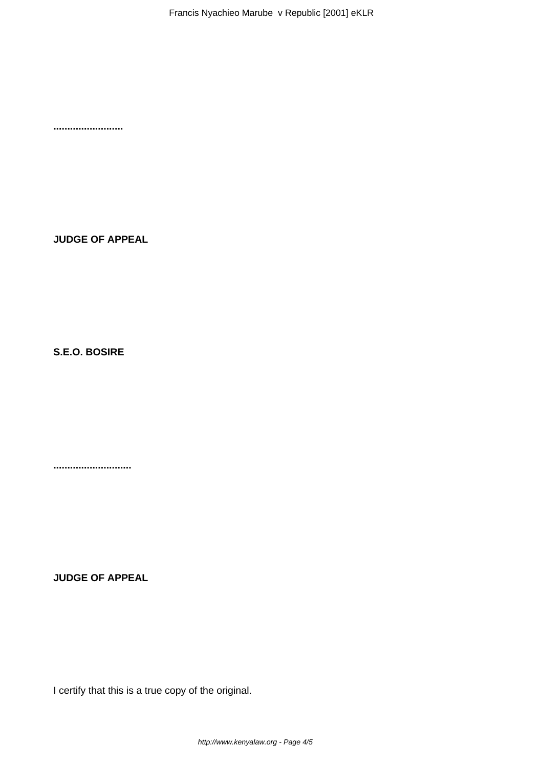Francis Nyachieo Marube v Republic [2001] eKLR

**.........................**

**JUDGE OF APPEAL**

**S.E.O. BOSIRE**

**............................**

**JUDGE OF APPEAL**

I certify that this is a true copy of the original.